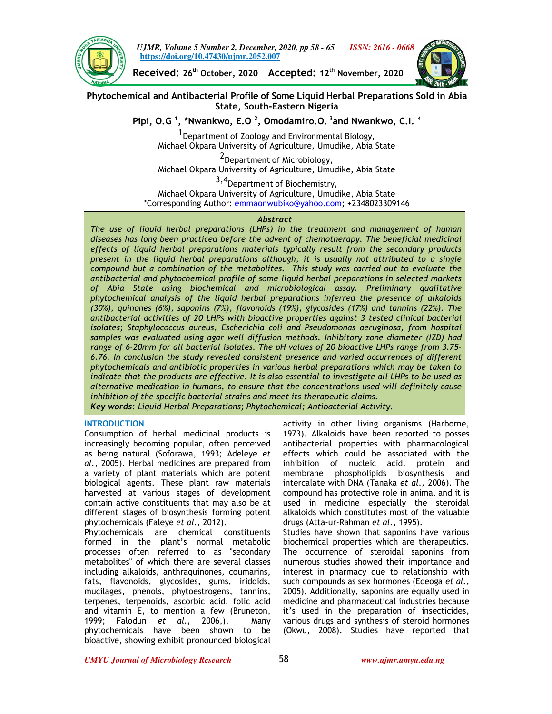

*UJMR, Volume 5 Number 2, December, 2020, pp 58 - 65 ISSN: 2616 - 0668* **https://doi.org/10.47430/ujmr.2052.007**



**Received: 26th October, 2020 Accepted: 12th November, 2020**

**Phytochemical and Antibacterial Profile of Some Liquid Herbal Preparations Sold in Abia State, South-Eastern Nigeria**

**Pipi, O.G <sup>1</sup> , \*Nwankwo, E.O <sup>2</sup> , Omodamiro.O.<sup>3</sup>and Nwankwo, C.I. <sup>4</sup>**

<sup>1</sup> Department of Zoology and Environmental Biology, Michael Okpara University of Agriculture, Umudike, Abia State

<sup>2</sup>Department of Microbiology, Michael Okpara University of Agriculture, Umudike, Abia State

3,4Department of Biochemistry, Michael Okpara University of Agriculture, Umudike, Abia State \*Corresponding Author: emmaonwubiko@yahoo.com; +2348023309146

### *Abstract*

*The use of liquid herbal preparations (LHPs) in the treatment and management of human diseases has long been practiced before the advent of chemotherapy. The beneficial medicinal effects of liquid herbal preparations materials typically result from the secondary products present in the liquid herbal preparations although, it is usually not attributed to a single compound but a combination of the metabolites. This study was carried out to evaluate the antibacterial and phytochemical profile of some liquid herbal preparations in selected markets of Abia State using biochemical and microbiological assay. Preliminary qualitative phytochemical analysis of the liquid herbal preparations inferred the presence of alkaloids (30%), quinones (6%), saponins (7%), flavonoids (19%), glycosides (17%) and tannins (22%). The antibacterial activities of 20 LHPs with bioactive properties against 3 tested clinical bacterial isolates; Staphylococcus aureus, Escherichia coli and Pseudomonas aeruginosa, from hospital samples was evaluated using agar well diffusion methods. Inhibitory zone diameter (IZD) had range of 6-20mm for all bacterial isolates. The pH values of 20 bioactive LHPs range from 3.75- 6.76. In conclusion the study revealed consistent presence and varied occurrences of different phytochemicals and antibiotic properties in various herbal preparations which may be taken to indicate that the products are effective. It is also essential to investigate all LHPs to be used as alternative medication in humans, to ensure that the concentrations used will definitely cause inhibition of the specific bacterial strains and meet its therapeutic claims. Key words: Liquid Herbal Preparations; Phytochemical; Antibacterial Activity.* 

## **INTRODUCTION**

Consumption of herbal medicinal products is increasingly becoming popular, often perceived as being natural (Soforawa, 1993; Adeleye *et al.*, 2005). Herbal medicines are prepared from a variety of plant materials which are potent biological agents. These plant raw materials harvested at various stages of development contain active constituents that may also be at different stages of biosynthesis forming potent phytochemicals (Faleye *et al.,* 2012).

Phytochemicals are chemical constituents formed in the plant's normal metabolic processes often referred to as "secondary metabolites" of which there are several classes including alkaloids, anthraquinones, coumarins, fats, flavonoids, glycosides, gums, iridoids, mucilages, phenols, phytoestrogens, tannins, terpenes, terpenoids, ascorbic acid, folic acid and vitamin E, to mention a few (Bruneton, 1999; Falodun *et al.,* 2006,). Many phytochemicals have been shown to be bioactive, showing exhibit pronounced biological

activity in other living organisms (Harborne, 1973). Alkaloids have been reported to posses antibacterial properties with pharmacological effects which could be associated with the inhibition of nucleic acid, protein and membrane phospholipids biosynthesis and intercalate with DNA (Tanaka *et al.,* 2006). The compound has protective role in animal and it is used in medicine especially the steroidal alkaloids which constitutes most of the valuable drugs (Atta-ur-Rahman *et al.,* 1995).

Studies have shown that saponins have various biochemical properties which are therapeutics. The occurrence of steroidal saponins from numerous studies showed their importance and interest in pharmacy due to relationship with such compounds as sex hormones (Edeoga *et al.,*  2005). Additionally, saponins are equally used in medicine and pharmaceutical industries because it's used in the preparation of insecticides, various drugs and synthesis of steroid hormones (Okwu, 2008). Studies have reported that

*UMYU Journal of Microbiology Research www.ujmr.umyu.edu.ng*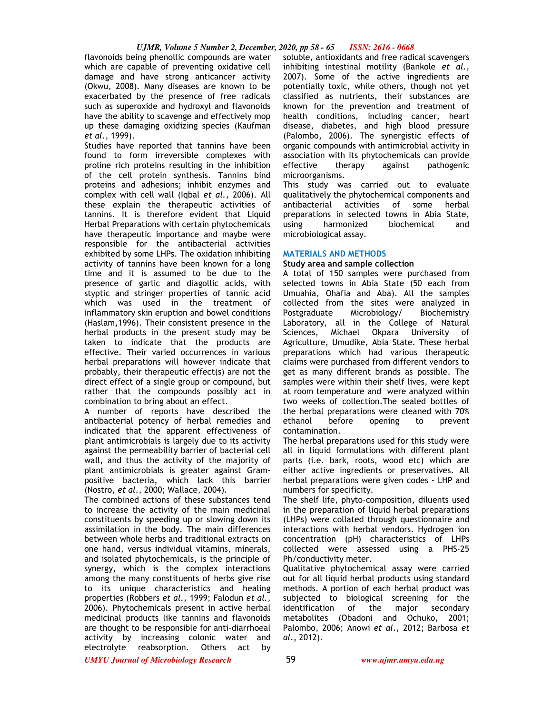## *UJMR, Volume 5 Number 2, December, 2020, pp 58 - 65 ISSN: 2616 - 0668*

flavonoids being phenollic compounds are water soluble, antioxidants and free radical scavengers which are capable of preventing oxidative cell damage and have strong anticancer activity (Okwu, 2008). Many diseases are known to be exacerbated by the presence of free radicals such as superoxide and hydroxyl and flavonoids have the ability to scavenge and effectively mop up these damaging oxidizing species (Kaufman *et al.,* 1999).

Studies have reported that tannins have been found to form irreversible complexes with proline rich proteins resulting in the inhibition of the cell protein synthesis. Tannins bind proteins and adhesions; inhibit enzymes and complex with cell wall (Iqbal *et al.,* 2006). All these explain the therapeutic activities of tannins. It is therefore evident that Liquid Herbal Preparations with certain phytochemicals have therapeutic importance and maybe were responsible for the antibacterial activities exhibited by some LHPs. The oxidation inhibiting activity of tannins have been known for a long time and it is assumed to be due to the presence of garlic and diagollic acids, with styptic and stringer properties of tannic acid which was used in the treatment of inflammatory skin eruption and bowel conditions (Haslam**,**1996). Their consistent presence in the herbal products in the present study may be taken to indicate that the products are effective. Their varied occurrences in various herbal preparations will however indicate that probably, their therapeutic effect(s) are not the direct effect of a single group or compound, but rather that the compounds possibly act in combination to bring about an effect.

A number of reports have described the antibacterial potency of herbal remedies and indicated that the apparent effectiveness of plant antimicrobials is largely due to its activity against the permeability barrier of bacterial cell wall, and thus the activity of the majority of plant antimicrobials is greater against Grampositive bacteria, which lack this barrier (Nostro, *et al*., 2000; Wallace, 2004).

The combined actions of these substances tend to increase the activity of the main medicinal constituents by speeding up or slowing down its assimilation in the body. The main differences between whole herbs and traditional extracts on one hand, versus individual vitamins, minerals, and isolated phytochemicals, is the principle of synergy, which is the complex interactions among the many constituents of herbs give rise to its unique characteristics and healing properties (Robbers *et al.,* 1999; Falodun *et al.,* 2006). Phytochemicals present in active herbal medicinal products like tannins and flavonoids are thought to be responsible for anti-diarrhoeal activity by increasing colonic water and electrolyte reabsorption. Others act by

inhibiting intestinal motility (Bankole *et al.,*  2007). Some of the active ingredients are potentially toxic, while others, though not yet classified as nutrients, their substances are known for the prevention and treatment of health conditions, including cancer, heart disease, diabetes, and high blood pressure (Palombo, 2006). The synergistic effects of organic compounds with antimicrobial activity in association with its phytochemicals can provide effective therapy against pathogenic microorganisms.

This study was carried out to evaluate qualitatively the phytochemical components and antibacterial activities of some herbal preparations in selected towns in Abia State,<br>using biarmonized biochemical and harmonized biochemical and microbiological assay.

#### **MATERIALS AND METHODS**

#### **Study area and sample collection**

A total of 150 samples were purchased from selected towns in Abia State (50 each from Umuahia, Ohafia and Aba). All the samples collected from the sites were analyzed in Postgraduate Microbiology/ Biochemistry Laboratory, all in the College of Natural Sciences, Michael Okpara University of Agriculture, Umudike, Abia State. These herbal preparations which had various therapeutic claims were purchased from different vendors to get as many different brands as possible. The samples were within their shelf lives, were kept at room temperature and were analyzed within two weeks of collection.The sealed bottles of the herbal preparations were cleaned with 70% ethanol before opening to prevent contamination.

The herbal preparations used for this study were all in liquid formulations with different plant parts (i.e. bark, roots, wood etc) which are either active ingredients or preservatives. All herbal preparations were given codes - LHP and numbers for specificity.

The shelf life, phyto-composition, diluents used in the preparation of liquid herbal preparations (LHPs) were collated through questionnaire and interactions with herbal vendors. Hydrogen ion concentration (pH) characteristics of LHPs collected were assessed using a PHS-25 Ph/conductivity meter.

Qualitative phytochemical assay were carried out for all liquid herbal products using standard methods. A portion of each herbal product was subjected to biological screening for the identification of the major secondary metabolites (Obadoni and Ochuko, 2001; Palombo, 2006; Anowi *et al*., 2012; Barbosa *et al*., 2012).

*UMYU Journal of Microbiology Research www.ujmr.umyu.edu.ng*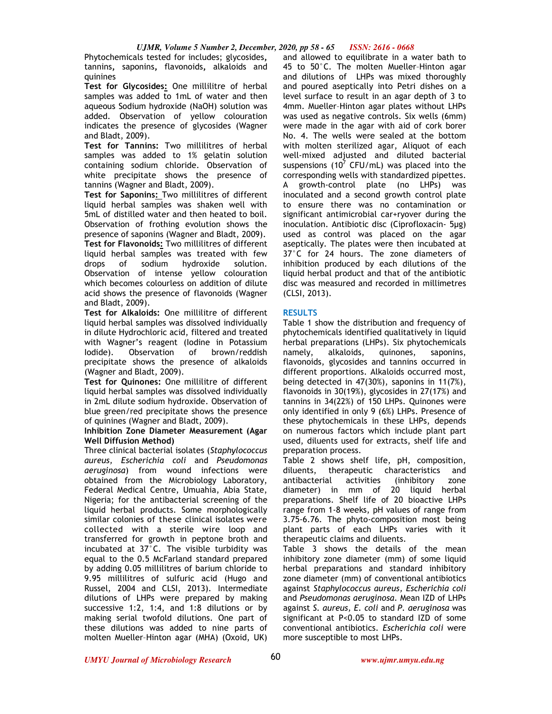Phytochemicals tested for includes; glycosides**,**  tannins**,** saponins**,** flavonoids**,** alkaloids and quinines

**Test for Glycosides:** One millilitre of herbal samples was added to 1mL of water and then aqueous Sodium hydroxide (NaOH) solution was added. Observation of yellow colouration indicates the presence of glycosides (Wagner and Bladt, 2009).

**Test for Tannins:** Two millilitres of herbal samples was added to 1% gelatin solution containing sodium chloride. Observation of white precipitate shows the presence of tannins (Wagner and Bladt, 2009).

**Test for Saponins:** Two millilitres of different liquid herbal samples was shaken well with 5mL of distilled water and then heated to boil. Observation of frothing evolution shows the presence of saponins (Wagner and Bladt, 2009). **Test for Flavonoids:** Two millilitres of different liquid herbal samples was treated with few drops of sodium hydroxide solution. Observation of intense yellow colouration which becomes colourless on addition of dilute acid shows the presence of flavonoids (Wagner and Bladt, 2009).

**Test for Alkaloids:** One millilitre of different liquid herbal samples was dissolved individually in dilute Hydrochloric acid, filtered and treated with Wagner's reagent (Iodine in Potassium Iodide). Observation of brown/reddish precipitate shows the presence of alkaloids (Wagner and Bladt, 2009).

**Test for Quinones:** One millilitre of different liquid herbal samples was dissolved individually in 2mL dilute sodium hydroxide. Observation of blue green/red precipitate shows the presence of quinines (Wagner and Bladt, 2009).

## **Inhibition Zone Diameter Measurement (Agar Well Diffusion Method)**

Three clinical bacterial isolates (*Staphylococcus aureus, Escherichia coli* and *Pseudomonas aeruginosa*) from wound infections were obtained from the Microbiology Laboratory, Federal Medical Centre, Umuahia, Abia State, Nigeria; for the antibacterial screening of the liquid herbal products. Some morphologically similar colonies of these clinical isolates were collected with a sterile wire loop and transferred for growth in peptone broth and incubated at 37°C. The visible turbidity was equal to the 0.5 McFarland standard prepared by adding 0.05 millilitres of barium chloride to 9.95 millilitres of sulfuric acid (Hugo and Russel, 2004 and CLSI, 2013). Intermediate dilutions of LHPs were prepared by making successive 1:2, 1:4, and 1:8 dilutions or by making serial twofold dilutions. One part of these dilutions was added to nine parts of molten Mueller–Hinton agar (MHA) (Oxoid, UK)

and allowed to equilibrate in a water bath to 45 to 50°C. The molten Mueller–Hinton agar and dilutions of LHPs was mixed thoroughly and poured aseptically into Petri dishes on a level surface to result in an agar depth of 3 to 4mm. Mueller–Hinton agar plates without LHPs was used as negative controls. Six wells (6mm) were made in the agar with aid of cork borer No. 4. The wells were sealed at the bottom with molten sterilized agar, Aliquot of each well-mixed adjusted and diluted bacterial suspensions (10<sup>7</sup> CFU/mL) was placed into the corresponding wells with standardized pipettes. A growth-control plate (no LHPs) was inoculated and a second growth control plate to ensure there was no contamination or significant antimicrobial car+ryover during the inoculation. Antibiotic disc (Ciprofloxacin- 5µg) used as control was placed on the agar aseptically. The plates were then incubated at 37°C for 24 hours. The zone diameters of inhibition produced by each dilutions of the liquid herbal product and that of the antibiotic disc was measured and recorded in millimetres (CLSI, 2013).

# **RESULTS**

Table 1 show the distribution and frequency of phytochemicals identified qualitatively in liquid herbal preparations (LHPs). Six phytochemicals namely, alkaloids, quinones, saponins, flavonoids, glycosides and tannins occurred in different proportions. Alkaloids occurred most, being detected in 47(30%), saponins in 11(7%), flavonoids in 30(19%), glycosides in 27(17%) and tannins in 34(22%) of 150 LHPs. Quinones were only identified in only 9 (6%) LHPs. Presence of these phytochemicals in these LHPs, depends on numerous factors which include plant part used, diluents used for extracts, shelf life and preparation process.

Table 2 shows shelf life, pH, composition, diluents, therapeutic characteristics and antibacterial activities (inhibitory zone diameter) in mm of 20 liquid herbal preparations. Shelf life of 20 bioactive LHPs range from 1-8 weeks, pH values of range from 3.75-6.76. The phyto-composition most being plant parts of each LHPs varies with it therapeutic claims and diluents.

Table 3 shows the details of the mean inhibitory zone diameter (mm) of some liquid herbal preparations and standard inhibitory zone diameter (mm) of conventional antibiotics against *Staphylococcus aureus, Escherichia coli*  and *Pseudomonas aeruginosa*. Mean IZD of LHPs against *S. aureus, E. coli* and *P. aeruginosa* was significant at P<0.05 to standard IZD of some conventional antibiotics. *Escherichia coli* were more susceptible to most LHPs.

*UMYU Journal of Microbiology Research www.ujmr.umyu.edu.ng*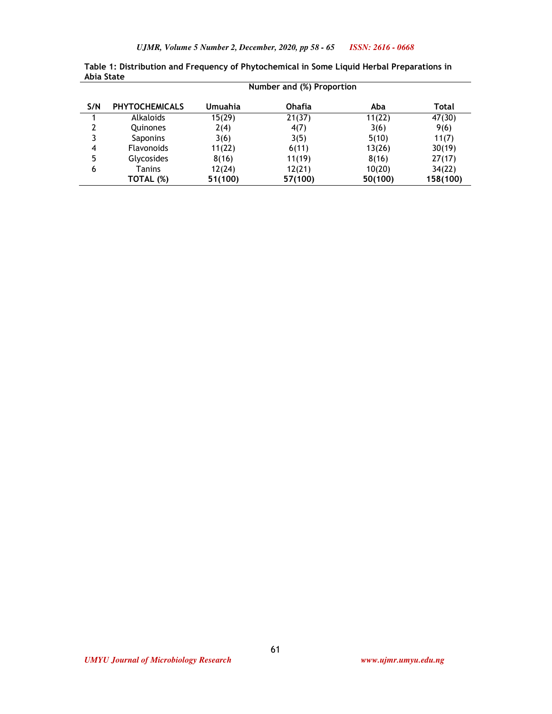| ADIA State |                           |         |               |         |          |  |  |  |
|------------|---------------------------|---------|---------------|---------|----------|--|--|--|
|            | Number and (%) Proportion |         |               |         |          |  |  |  |
| S/N        | <b>PHYTOCHEMICALS</b>     | Umuahia | <b>Ohafia</b> | Aba     | Total    |  |  |  |
|            | Alkaloids                 | 15(29)  | 21(37)        | 11(22)  | 47(30)   |  |  |  |
| 2          | Quinones                  | 2(4)    | 4(7)          | 3(6)    | 9(6)     |  |  |  |
| 3          | Saponins                  | 3(6)    | 3(5)          | 5(10)   | 11(7)    |  |  |  |
| 4          | <b>Flavonoids</b>         | 11(22)  | 6(11)         | 13(26)  | 30(19)   |  |  |  |
| 5          | <b>Glycosides</b>         | 8(16)   | 11(19)        | 8(16)   | 27(17)   |  |  |  |
| 6          | <b>Tanins</b>             | 12(24)  | 12(21)        | 10(20)  | 34(22)   |  |  |  |
|            | TOTAL (%)                 | 51(100) | 57(100)       | 50(100) | 158(100) |  |  |  |

**Table 1: Distribution and Frequency of Phytochemical in Some Liquid Herbal Preparations in Abia State**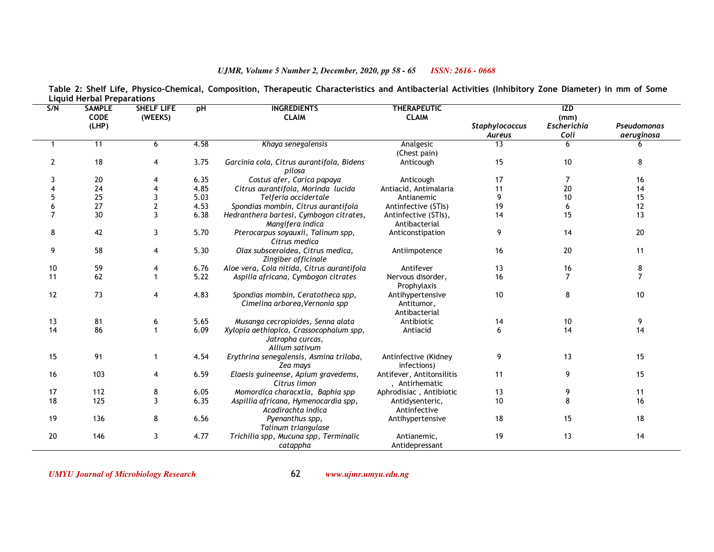#### **SHELF LIFES/N SAMPLE CODE (LHP) (WEEKS) pH INGREDIENTS CLAIM THERAPEUTICCLAIM** *StaphylococcusAureus***IZD (mm)**  *Escherichia Coli* $\overline{6}$ *Pseudomonas aeruginosa*1 <sup>11</sup> <sup>6</sup> 4.58 *Khaya senegalensis* Analgesic (Chest pain)  $\overline{13}$  <sup>6</sup> <sup>6</sup> 2 <sup>18</sup> <sup>4</sup> 3.75 *Garcinia cola, Citrus aurantifola, Bidens pilosa*  <sup>20</sup> <sup>4</sup> 6.35 *Costus afer, Carica papaya*Anticoughh 15 10 8 3 Anticoughh 17 7 16 4 <sup>24</sup> <sup>4</sup> 4.85 *Citrus aurantifola, Morinda lucida* Antiacid, Antimalaria <sup>11</sup> <sup>20</sup> <sup>14</sup> 5 <sup>25</sup> <sup>3</sup> 5.03 *Telferia occidertale*e Antianemic 9 10 15 6 <sup>27</sup> <sup>2</sup> 4.53 *Spondias mombin, Citrus aurantifola*Antinfective (STIs) 19 5 12<br>Antinfective (STIs). 11 14 15 13 13 7 <sup>30</sup> <sup>3</sup> 6.38 *Hedranthera bartesi, Cymbogon citrates, Mangifera indica*  <sup>42</sup> <sup>3</sup> 5.70 *Pterocarpus soyauxii, Talinum spp,*  Antinfective (STIs), Antibacterial Anticonstipation14 <sup>15</sup> <sup>13</sup> 8*Citrus medica*  <sup>58</sup> <sup>4</sup> 5.30 *Olax subsceroidea, Citrus medica,*  n 9 14 20 9*Zingiber officinale*  <sup>59</sup> <sup>4</sup> 6.76 *Aloe vera, Cola nitida, Citrus aurantifola*Antiimpotencee 16 20 11 10a Antifever 13 16 8 11 <sup>62</sup> <sup>1</sup> 5.22 *Aspilia africana, Cymbogon citrates* Nervous disorder, Prophylaxis Antihypertensive 16 <sup>7</sup> <sup>7</sup> 12 <sup>73</sup> <sup>4</sup> 4.83 *Spondias mombin, Ceratotheca spp, Cimelina arborea,Vernonia spp* Antitumor, Antibacterial 100 8 10 13 <sup>81</sup> <sup>6</sup> 5.65 *Musanga cecropioides, Senna alata*a Antibiotic 14 10 9 14 <sup>86</sup> <sup>1</sup> 6.09 *Xylopia aethiopica, Crassocophalum spp, Jatropha curcas, Allium sativum*  <sup>91</sup> <sup>1</sup> 4.54 *Erythrina senegalensis, Asmina triloba,*  Antiacidd 6 14 14 15*Zea mays*  <sup>103</sup> <sup>4</sup> 6.59 *Elaesis guineense, Apium gravedems,*  Antinfective (Kidney infections) Antifever, Antitonsilitis9 <sup>13</sup> <sup>15</sup> 16*Citrus limon*  <sup>112</sup> <sup>8</sup> 6.05 *Momordica characxtia, Baphia spp*, Antirhematic p Aphrodisiac , Antibiotic 13 9 11 111 9 15 1718 <sup>125</sup> <sup>3</sup> 6.35 *Aspillia africana, Hymenocardia spp, Acadirachta indica* Antidysenteric, Antinfective Antihypertensive10 <sup>8</sup> <sup>16</sup> 19 <sup>136</sup> <sup>8</sup> 6.56 *Pyenanthus spp, Talinum triangulase*  <sup>146</sup> <sup>3</sup> 4.77 *Trichilia spp, Mucuna spp, Terminalic*  e 18 15 18 20*catappha* Antianemic, Antidepressant 19<sup>13</sup> <sup>14</sup>

# **Table 2: Shelf Life, Physico-Chemical, Composition, Therapeutic Characteristics and Antibacterial Activities (Inhibitory Zone Diameter) in mm of Some Liquid Herbal Preparations**

*ISSN: 2616 - 0668*

*UJMR, Volume 5 Number 2, December, 2020, pp 58 - 65*

*UMYU Journal of Microbiology Research www.ujmr.umyu.edu.ng*

62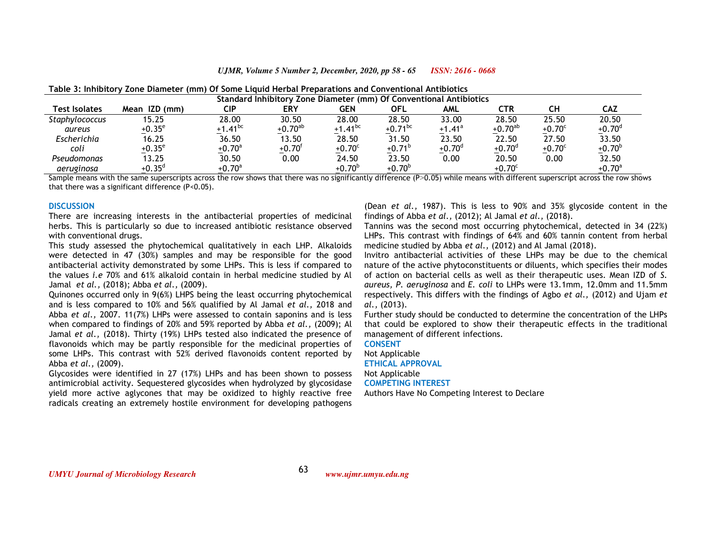*UJMR, Volume 5 Number 2, December, 2020, pp 58 - 65ISSN: 2616 - 0668*

| Standard Inhibitory Zone Diameter (mm) Of Conventional Antibiotics |                 |               |              |                 |              |           |                 |                 |                 |
|--------------------------------------------------------------------|-----------------|---------------|--------------|-----------------|--------------|-----------|-----------------|-----------------|-----------------|
| Test Isolates                                                      | Mean IZD (mm)   | CIP           | <b>ERY</b>   | <b>GEN</b>      | OFL          | AML       | CTR             | CН              | CAZ             |
| Staphylococcus                                                     | 15.25           | 28.00         | 30.50        | 28.00           | 28.50        | 33.00     | 28.50           | 25.50           | 20.50           |
| aureus                                                             | $+0.35^{\circ}$ | +1.41 $^{bc}$ | $+0.70^{ab}$ | $+1.41^{bc}$    | $+0.71^{bc}$ | $+1.41^a$ | $+0.70^{ab}$    | $+0.70^{\circ}$ | $+0.70^{\circ}$ |
| Escherichia                                                        | 16.25           | 36.50         | 13.50        | 28.50           | 31.50        | 23.50     | 22.50           | 27.50           | 33.50           |
| coli                                                               | $+0.35^{\circ}$ | $+0.70^a$     | $+0.70^{f}$  | $+0.70^{\circ}$ | $+0.71^{b}$  | $+0.70^d$ | $+0.70d$        | $+0.70^{\circ}$ | $+0.70^{b}$     |
| Pseudomonas                                                        | 13.25           | 30.50         | 0.00         | 24.50           | 23.50        | 0.00      | 20.50           | 0.00            | 32.50           |
| aeruginosa                                                         | $+0.35^{d}$     | $+0.70^a$     |              | $+0.70^{b}$     | $+0.70^{b}$  |           | $+0.70^{\circ}$ |                 | $+0.70^a$       |

| Table 3: Inhibitory Zone Diameter (mm) Of Some Liquid Herbal Preparations and Conventional Antibiotics |  |  |
|--------------------------------------------------------------------------------------------------------|--|--|
|                                                                                                        |  |  |

 Sample means with the same superscripts across the row shows that there was no significantly difference (P˃0.05) while means with different superscript across the row shows that there was a significant difference (P<0.05).

#### **DISCUSSION**

 There are increasing interests in the antibacterial properties of medicinal herbs. This is particularly so due to increased antibiotic resistance observed with conventional drugs.

 This study assessed the phytochemical qualitatively in each LHP. Alkaloids were detected in 47 (30%) samples and may be responsible for the good antibacterial activity demonstrated by some LHPs. This is less if compared to the values *i.e* 70% and 61% alkaloid contain in herbal medicine studied by Al Jamal *et al.,* (2018); Abba *et al.,* (2009).

 Quinones occurred only in 9(6%) LHPS being the least occurring phytochemical and is less compared to 10% and 56% qualified by Al Jamal *et al.,* 2018 and Abba *et al.,* 2007. 11(7%) LHPs were assessed to contain saponins and is less when compared to findings of 20% and 59% reported by Abba *et al.,* (2009); Al Jamal *et al.,* (2018). Thirty (19%) LHPs tested also indicated the presence of flavonoids which may be partly responsible for the medicinal properties of some LHPs. This contrast with 52% derived flavonoids content reported by Abba *et al.,* (2009).

 Glycosides were identified in 27 (17%) LHPs and has been shown to possess antimicrobial activity. Sequestered glycosides when hydrolyzed by glycosidase yield more active aglycones that may be oxidized to highly reactive free radicals creating an extremely hostile environment for developing pathogens

(Dean *et al.,* 1987). This is less to 90% and 35% glycoside content in the findings of Abba *et al.,* (2012); Al Jamal *et al.,* (2018).

 Tannins was the second most occurring phytochemical, detected in 34 (22%) LHPs. This contrast with findings of 64% and 60% tannin content from herbal medicine studied by Abba *et al.,* (2012) and Al Jamal (2018).

 Invitro antibacterial activities of these LHPs may be due to the chemical nature of the active phytoconstituents or diluents, which specifies their modes of action on bacterial cells as well as their therapeutic uses. Mean IZD of *S. aureus, P. aeruginosa* and *E. coli* to LHPs were 13.1mm, 12.0mm and 11.5mm respectively. This differs with the findings of Agbo *et al.,* (2012) and Ujam *et al.,* (2013).

 Further study should be conducted to determine the concentration of the LHPs that could be explored to show their therapeutic effects in the traditional management of different infections.

**CONSENT**  Not Applicable **ETHICAL APPROVAL** 

Not Applicable **COMPETING INTEREST** 

Authors Have No Competing Interest to Declare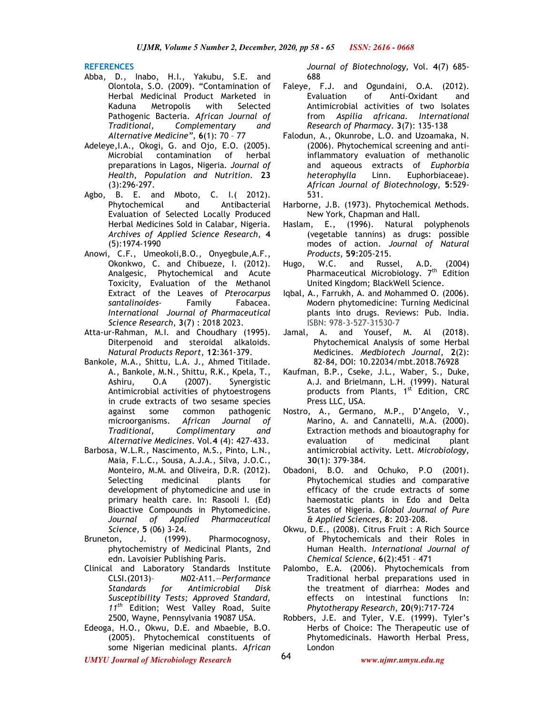**REFERENCES** 

- Abba, D., Inabo, H.I., Yakubu, S.E. and Olontola, S.O. (2009). "Contamination of Herbal Medicinal Product Marketed in Kaduna Metropolis with Selected Pathogenic Bacteria. *African Journal of Traditional, Complementary and Alternative Medicine"*, **6**(1): 70 – 77
- Adeleye,I.A., Okogi, G. and Ojo, E.O. (2005). Microbial contamination of herbal preparations in Lagos, Nigeria*. Journal of Health, Population and Nutrition*. **23** (3):296-297.
- Agbo, B. E. and Mboto, C. I.( 2012). Phytochemical and Antibacterial Evaluation of Selected Locally Produced Herbal Medicines Sold in Calabar, Nigeria. *Archives of Applied Science Research*, **4** (5):1974-1990
- Anowi, C.F., Umeokoli,B.O., Onyegbule,A.F., Okonkwo, C. and Chibueze, I. (2012). Analgesic, Phytochemical and Acute Toxicity, Evaluation of the Methanol Extract of the Leaves of *Pterocarpus santalinoides*- Family Fabacea. *International Journal of Pharmaceutical Science Research,* **3**(7) : 2018 2023.
- Atta-ur-Rahman, M.I. and Choudhary (1995). Diterpenoid and steroidal alkaloids. *Natural Products Report*, **12**:361-379.
- Bankole, M.A., Shittu, L.A. J., Ahmed Titilade. A., Bankole, M.N., Shittu, R.K., Kpela, T.,<br>Ashiru, O.A (2007). Synergistic Ashiru, O.A (2007). Synergistic Antimicrobial activities of phytoestrogens in crude extracts of two sesame species against some common pathogenic microorganisms. *African Journal of Traditional, Complimentary and Alternative Medicines*. Vol.**4** (4): 427-433.
- Barbosa, W.L.R., Nascimento, M.S., Pinto, L.N., Maia, F.L.C., Sousa, A.J.A., Silva, J.O.C., Monteiro, M.M. and Oliveira, D.R. (2012). Selecting medicinal plants for development of phytomedicine and use in primary health care. In: Rasooli I. (Ed) Bioactive Compounds in Phytomedicine. *Journal of Applied Pharmaceutical Science,* **5** (06) 3-24.
- Bruneton, J. (1999). Pharmocognosy, phytochemistry of Medicinal Plants, 2nd edn. Lavoisier Publishing Paris.
- Clinical and Laboratory Standards Institute CLSI.(2013)– M02-A11.—*Performance Standards for Antimicrobial Disk Susceptibility Tests; Approved Standard, 11th* Edition; West Valley Road, Suite 2500, Wayne, Pennsylvania 19087 USA.
- Edeoga, H.O., Okwu, D.E. and Mbaebie, B.O. (2005). Phytochemical constituents of some Nigerian medicinal plants. *African*

*Journal of Biotechnology*, Vol. **4**(7) 685- 688

- Faleye, F.J. and Ogundaini, O.A. (2012). Evaluation of Anti-Oxidant and Antimicrobial activities of two Isolates from *Aspilia africana*. *International Research of Pharmacy*. **3**(7): 135-138
- Falodun, A., Okunrobe, L.O. and Uzoamaka, N. (2006). Phytochemical screening and antiinflammatory evaluation of methanolic and aqueous extracts of *Euphorbia heterophylla* Linn. Euphorbiaceae). *African Journal of Biotechnology*, **5**:529- 531.
- Harborne, J.B. (1973). Phytochemical Methods. New York, Chapman and Hall*.*
- Haslam, E., (1996). Natural polyphenols (vegetable tannins) as drugs: possible modes of action. *Journal of Natural Products,* **59**:205-215.
- Hugo, W.C. and Russel, A.D. (2004) Pharmaceutical Microbiology. 7<sup>th</sup> Edition United Kingdom; BlackWell Science.
- Iqbal, A., Farrukh, A. and Mohammed O. (2006). Modern phytomedicine: Turning Medicinal plants into drugs. Reviews: Pub. India. ISBN: 978-3-527-31530-7
- Jamal, A. and Yousef, M. Al (2018). Phytochemical Analysis of some Herbal Medicines. *Medbiotech Journal*, **2**(2): 82-84, DOI: 10.22034/mbt.2018.76928
- Kaufman, B.P., Cseke, J.L., Waber, S., Duke, A.J. and Brielmann, L.H. (1999). Natural products from Plants, 1<sup>st</sup> Edition, CRC Press LLC, USA.
- Nostro, A., Germano, M.P., D'Angelo, V., Marino, A. and Cannatelli, M.A. (2000). Extraction methods and bioautography for<br>evaluation of medicinal plant evaluation of medicinal plant antimicrobial activity. Lett. *Microbiology,*  **30**(1): 379-384.
- Obadoni, B.O. and Ochuko, P.O (2001). Phytochemical studies and comparative efficacy of the crude extracts of some haemostatic plants in Edo and Delta States of Nigeria. *Global Journal of Pure & Applied Sciences*, **8**: 203-208.
- Okwu, D.E., (2008). Citrus Fruit : A Rich Source of Phytochemicals and their Roles in Human Health. *International Journal of Chemical Science*, **6**(2):451 – 471
- Palombo, E.A. (2006). Phytochemicals from Traditional herbal preparations used in the treatment of diarrhea: Modes and effects on intestinal functions In: *Phytotherapy Research*, **20**(9):717-724
- Robbers, J.E. and Tyler, V.E. (1999). Tyler's Herbs of Choice: The Therapeutic use of Phytomedicinals. Haworth Herbal Press, London

*UMYU Journal of Microbiology Research www.ujmr.umyu.edu.ng*

64